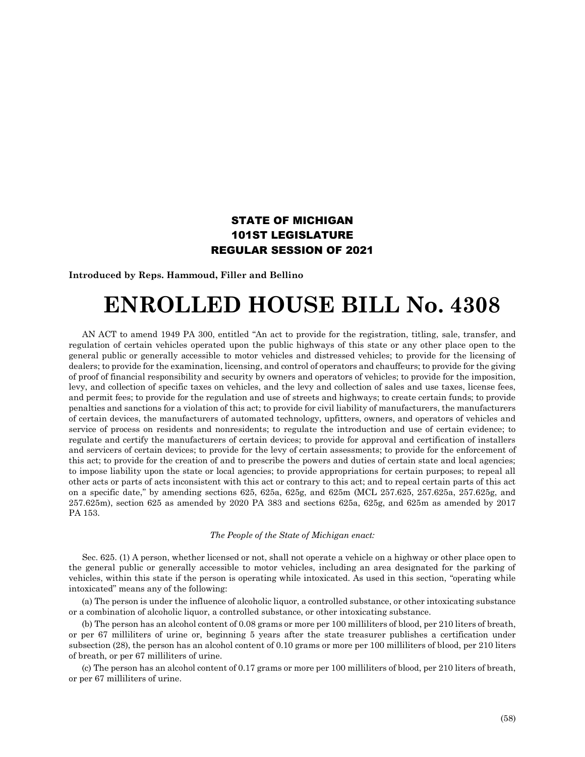## STATE OF MICHIGAN 101ST LEGISLATURE REGULAR SESSION OF 2021

**Introduced by Reps. Hammoud, Filler and Bellino**

## **ENROLLED HOUSE BILL No. 4308**

AN ACT to amend 1949 PA 300, entitled "An act to provide for the registration, titling, sale, transfer, and regulation of certain vehicles operated upon the public highways of this state or any other place open to the general public or generally accessible to motor vehicles and distressed vehicles; to provide for the licensing of dealers; to provide for the examination, licensing, and control of operators and chauffeurs; to provide for the giving of proof of financial responsibility and security by owners and operators of vehicles; to provide for the imposition, levy, and collection of specific taxes on vehicles, and the levy and collection of sales and use taxes, license fees, and permit fees; to provide for the regulation and use of streets and highways; to create certain funds; to provide penalties and sanctions for a violation of this act; to provide for civil liability of manufacturers, the manufacturers of certain devices, the manufacturers of automated technology, upfitters, owners, and operators of vehicles and service of process on residents and nonresidents; to regulate the introduction and use of certain evidence; to regulate and certify the manufacturers of certain devices; to provide for approval and certification of installers and servicers of certain devices; to provide for the levy of certain assessments; to provide for the enforcement of this act; to provide for the creation of and to prescribe the powers and duties of certain state and local agencies; to impose liability upon the state or local agencies; to provide appropriations for certain purposes; to repeal all other acts or parts of acts inconsistent with this act or contrary to this act; and to repeal certain parts of this act on a specific date," by amending sections 625, 625a, 625g, and 625m (MCL 257.625, 257.625a, 257.625g, and 257.625m), section 625 as amended by 2020 PA 383 and sections 625a, 625g, and 625m as amended by 2017 PA 153.

## *The People of the State of Michigan enact:*

Sec. 625. (1) A person, whether licensed or not, shall not operate a vehicle on a highway or other place open to the general public or generally accessible to motor vehicles, including an area designated for the parking of vehicles, within this state if the person is operating while intoxicated. As used in this section, "operating while intoxicated" means any of the following:

(a) The person is under the influence of alcoholic liquor, a controlled substance, or other intoxicating substance or a combination of alcoholic liquor, a controlled substance, or other intoxicating substance.

(b) The person has an alcohol content of 0.08 grams or more per 100 milliliters of blood, per 210 liters of breath, or per 67 milliliters of urine or, beginning 5 years after the state treasurer publishes a certification under subsection (28), the person has an alcohol content of 0.10 grams or more per 100 milliliters of blood, per 210 liters of breath, or per 67 milliliters of urine.

(c) The person has an alcohol content of 0.17 grams or more per 100 milliliters of blood, per 210 liters of breath, or per 67 milliliters of urine.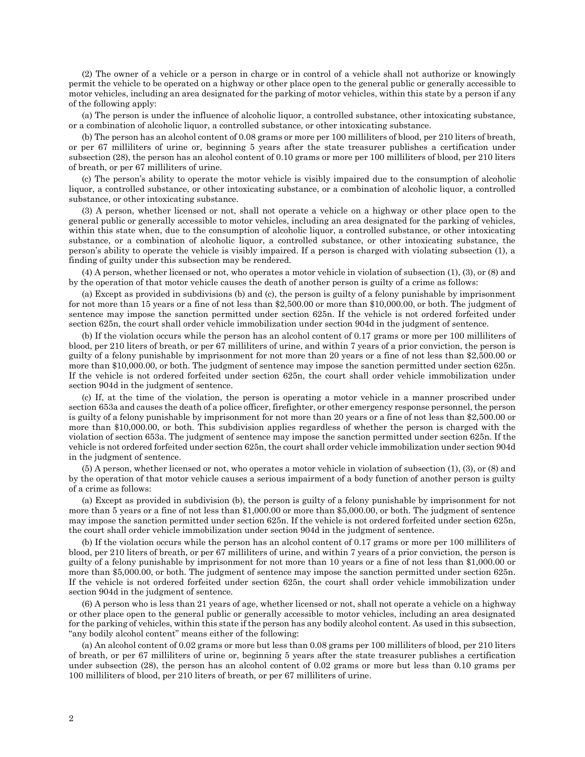(2) The owner of a vehicle or a person in charge or in control of a vehicle shall not authorize or knowingly permit the vehicle to be operated on a highway or other place open to the general public or generally accessible to motor vehicles, including an area designated for the parking of motor vehicles, within this state by a person if any of the following apply:

(a) The person is under the influence of alcoholic liquor, a controlled substance, other intoxicating substance, or a combination of alcoholic liquor, a controlled substance, or other intoxicating substance.

(b) The person has an alcohol content of 0.08 grams or more per 100 milliliters of blood, per 210 liters of breath, or per 67 milliliters of urine or, beginning 5 years after the state treasurer publishes a certification under subsection (28), the person has an alcohol content of 0.10 grams or more per 100 milliliters of blood, per 210 liters of breath, or per 67 milliliters of urine.

(c) The person's ability to operate the motor vehicle is visibly impaired due to the consumption of alcoholic liquor, a controlled substance, or other intoxicating substance, or a combination of alcoholic liquor, a controlled substance, or other intoxicating substance.

(3) A person, whether licensed or not, shall not operate a vehicle on a highway or other place open to the general public or generally accessible to motor vehicles, including an area designated for the parking of vehicles, within this state when, due to the consumption of alcoholic liquor, a controlled substance, or other intoxicating substance, or a combination of alcoholic liquor, a controlled substance, or other intoxicating substance, the person's ability to operate the vehicle is visibly impaired. If a person is charged with violating subsection (1), a finding of guilty under this subsection may be rendered.

(4) A person, whether licensed or not, who operates a motor vehicle in violation of subsection (1), (3), or (8) and by the operation of that motor vehicle causes the death of another person is guilty of a crime as follows:

(a) Except as provided in subdivisions (b) and (c), the person is guilty of a felony punishable by imprisonment for not more than 15 years or a fine of not less than \$2,500.00 or more than \$10,000.00, or both. The judgment of sentence may impose the sanction permitted under section 625n. If the vehicle is not ordered forfeited under section 625n, the court shall order vehicle immobilization under section 904d in the judgment of sentence.

(b) If the violation occurs while the person has an alcohol content of 0.17 grams or more per 100 milliliters of blood, per 210 liters of breath, or per 67 milliliters of urine, and within 7 years of a prior conviction, the person is guilty of a felony punishable by imprisonment for not more than 20 years or a fine of not less than \$2,500.00 or more than \$10,000.00, or both. The judgment of sentence may impose the sanction permitted under section 625n. If the vehicle is not ordered forfeited under section 625n, the court shall order vehicle immobilization under section 904d in the judgment of sentence.

(c) If, at the time of the violation, the person is operating a motor vehicle in a manner proscribed under section 653a and causes the death of a police officer, firefighter, or other emergency response personnel, the person is guilty of a felony punishable by imprisonment for not more than 20 years or a fine of not less than \$2,500.00 or more than \$10,000.00, or both. This subdivision applies regardless of whether the person is charged with the violation of section 653a. The judgment of sentence may impose the sanction permitted under section 625n. If the vehicle is not ordered forfeited under section 625n, the court shall order vehicle immobilization under section 904d in the judgment of sentence.

(5) A person, whether licensed or not, who operates a motor vehicle in violation of subsection (1), (3), or (8) and by the operation of that motor vehicle causes a serious impairment of a body function of another person is guilty of a crime as follows:

(a) Except as provided in subdivision (b), the person is guilty of a felony punishable by imprisonment for not more than 5 years or a fine of not less than \$1,000.00 or more than \$5,000.00, or both. The judgment of sentence may impose the sanction permitted under section 625n. If the vehicle is not ordered forfeited under section 625n, the court shall order vehicle immobilization under section 904d in the judgment of sentence.

(b) If the violation occurs while the person has an alcohol content of 0.17 grams or more per 100 milliliters of blood, per 210 liters of breath, or per 67 milliliters of urine, and within 7 years of a prior conviction, the person is guilty of a felony punishable by imprisonment for not more than 10 years or a fine of not less than \$1,000.00 or more than \$5,000.00, or both. The judgment of sentence may impose the sanction permitted under section 625n. If the vehicle is not ordered forfeited under section 625n, the court shall order vehicle immobilization under section 904d in the judgment of sentence.

(6) A person who is less than 21 years of age, whether licensed or not, shall not operate a vehicle on a highway or other place open to the general public or generally accessible to motor vehicles, including an area designated for the parking of vehicles, within this state if the person has any bodily alcohol content. As used in this subsection, "any bodily alcohol content" means either of the following:

(a) An alcohol content of 0.02 grams or more but less than 0.08 grams per 100 milliliters of blood, per 210 liters of breath, or per 67 milliliters of urine or, beginning 5 years after the state treasurer publishes a certification under subsection (28), the person has an alcohol content of 0.02 grams or more but less than 0.10 grams per 100 milliliters of blood, per 210 liters of breath, or per 67 milliliters of urine.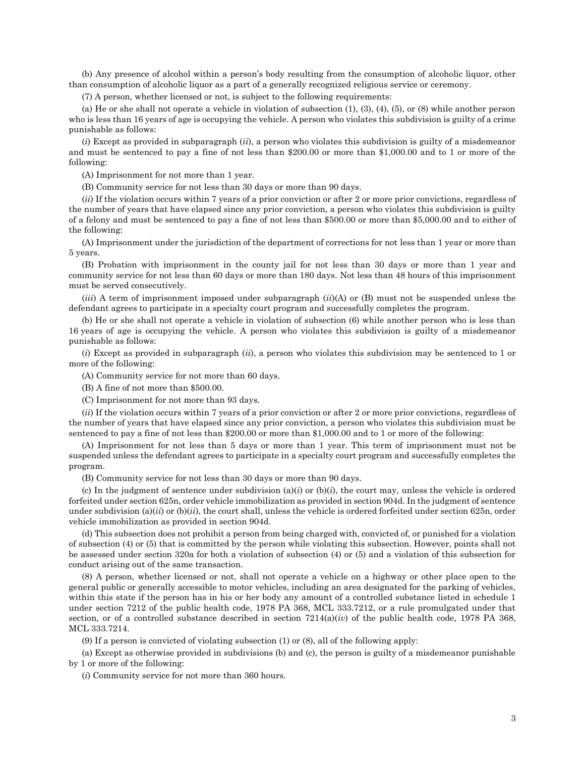(b) Any presence of alcohol within a person's body resulting from the consumption of alcoholic liquor, other than consumption of alcoholic liquor as a part of a generally recognized religious service or ceremony.

(7) A person, whether licensed or not, is subject to the following requirements:

(a) He or she shall not operate a vehicle in violation of subsection  $(1)$ ,  $(3)$ ,  $(4)$ ,  $(5)$ , or  $(8)$  while another person who is less than 16 years of age is occupying the vehicle. A person who violates this subdivision is guilty of a crime punishable as follows:

(*i*) Except as provided in subparagraph (*ii*), a person who violates this subdivision is guilty of a misdemeanor and must be sentenced to pay a fine of not less than \$200.00 or more than \$1,000.00 and to 1 or more of the following:

(A) Imprisonment for not more than 1 year.

(B) Community service for not less than 30 days or more than 90 days.

(*ii*) If the violation occurs within 7 years of a prior conviction or after 2 or more prior convictions, regardless of the number of years that have elapsed since any prior conviction, a person who violates this subdivision is guilty of a felony and must be sentenced to pay a fine of not less than \$500.00 or more than \$5,000.00 and to either of the following:

(A) Imprisonment under the jurisdiction of the department of corrections for not less than 1 year or more than 5 years.

(B) Probation with imprisonment in the county jail for not less than 30 days or more than 1 year and community service for not less than 60 days or more than 180 days. Not less than 48 hours of this imprisonment must be served consecutively.

 $(iii)$  A term of imprisonment imposed under subparagraph  $(ii)$ (A) or (B) must not be suspended unless the defendant agrees to participate in a specialty court program and successfully completes the program.

(b) He or she shall not operate a vehicle in violation of subsection (6) while another person who is less than 16 years of age is occupying the vehicle. A person who violates this subdivision is guilty of a misdemeanor punishable as follows:

(*i*) Except as provided in subparagraph (*ii*), a person who violates this subdivision may be sentenced to 1 or more of the following:

(A) Community service for not more than 60 days.

(B) A fine of not more than \$500.00.

(C) Imprisonment for not more than 93 days.

(*ii*) If the violation occurs within 7 years of a prior conviction or after 2 or more prior convictions, regardless of the number of years that have elapsed since any prior conviction, a person who violates this subdivision must be sentenced to pay a fine of not less than \$200.00 or more than \$1,000.00 and to 1 or more of the following:

(A) Imprisonment for not less than 5 days or more than 1 year. This term of imprisonment must not be suspended unless the defendant agrees to participate in a specialty court program and successfully completes the program.

(B) Community service for not less than 30 days or more than 90 days.

(c) In the judgment of sentence under subdivision  $(a)(i)$  or  $(b)(i)$ , the court may, unless the vehicle is ordered forfeited under section 625n, order vehicle immobilization as provided in section 904d. In the judgment of sentence under subdivision  $(a)(ii)$  or  $(b)(ii)$ , the court shall, unless the vehicle is ordered forfeited under section 625n, order vehicle immobilization as provided in section 904d.

(d) This subsection does not prohibit a person from being charged with, convicted of, or punished for a violation of subsection (4) or (5) that is committed by the person while violating this subsection. However, points shall not be assessed under section 320a for both a violation of subsection (4) or (5) and a violation of this subsection for conduct arising out of the same transaction.

(8) A person, whether licensed or not, shall not operate a vehicle on a highway or other place open to the general public or generally accessible to motor vehicles, including an area designated for the parking of vehicles, within this state if the person has in his or her body any amount of a controlled substance listed in schedule 1 under section 7212 of the public health code, 1978 PA 368, MCL 333.7212, or a rule promulgated under that section, or of a controlled substance described in section 7214(a)(*iv*) of the public health code, 1978 PA 368, MCL 333.7214.

(9) If a person is convicted of violating subsection (1) or (8), all of the following apply:

(a) Except as otherwise provided in subdivisions (b) and (c), the person is guilty of a misdemeanor punishable by 1 or more of the following:

(*i*) Community service for not more than 360 hours.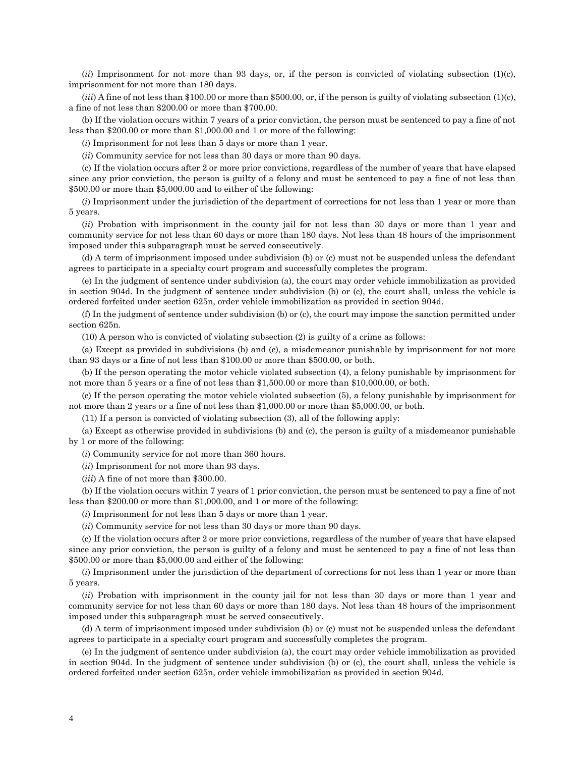(*ii*) Imprisonment for not more than 93 days, or, if the person is convicted of violating subsection (1)(c), imprisonment for not more than 180 days.

(*iii*) A fine of not less than \$100.00 or more than \$500.00, or, if the person is guilty of violating subsection (1)(c), a fine of not less than \$200.00 or more than \$700.00.

(b) If the violation occurs within 7 years of a prior conviction, the person must be sentenced to pay a fine of not less than \$200.00 or more than \$1,000.00 and 1 or more of the following:

(*i*) Imprisonment for not less than 5 days or more than 1 year.

(*ii*) Community service for not less than 30 days or more than 90 days.

(c) If the violation occurs after 2 or more prior convictions, regardless of the number of years that have elapsed since any prior conviction, the person is guilty of a felony and must be sentenced to pay a fine of not less than \$500.00 or more than \$5,000.00 and to either of the following:

(*i*) Imprisonment under the jurisdiction of the department of corrections for not less than 1 year or more than 5 years.

(*ii*) Probation with imprisonment in the county jail for not less than 30 days or more than 1 year and community service for not less than 60 days or more than 180 days. Not less than 48 hours of the imprisonment imposed under this subparagraph must be served consecutively.

(d) A term of imprisonment imposed under subdivision (b) or (c) must not be suspended unless the defendant agrees to participate in a specialty court program and successfully completes the program.

(e) In the judgment of sentence under subdivision (a), the court may order vehicle immobilization as provided in section 904d. In the judgment of sentence under subdivision (b) or (c), the court shall, unless the vehicle is ordered forfeited under section 625n, order vehicle immobilization as provided in section 904d.

(f) In the judgment of sentence under subdivision (b) or (c), the court may impose the sanction permitted under section 625n.

(10) A person who is convicted of violating subsection (2) is guilty of a crime as follows:

(a) Except as provided in subdivisions (b) and (c), a misdemeanor punishable by imprisonment for not more than 93 days or a fine of not less than \$100.00 or more than \$500.00, or both.

(b) If the person operating the motor vehicle violated subsection (4), a felony punishable by imprisonment for not more than 5 years or a fine of not less than \$1,500.00 or more than \$10,000.00, or both.

(c) If the person operating the motor vehicle violated subsection (5), a felony punishable by imprisonment for not more than 2 years or a fine of not less than \$1,000.00 or more than \$5,000.00, or both.

(11) If a person is convicted of violating subsection (3), all of the following apply:

(a) Except as otherwise provided in subdivisions (b) and (c), the person is guilty of a misdemeanor punishable by 1 or more of the following:

(*i*) Community service for not more than 360 hours.

(*ii*) Imprisonment for not more than 93 days.

(*iii*) A fine of not more than \$300.00.

(b) If the violation occurs within 7 years of 1 prior conviction, the person must be sentenced to pay a fine of not less than \$200.00 or more than \$1,000.00, and 1 or more of the following:

(*i*) Imprisonment for not less than 5 days or more than 1 year.

(*ii*) Community service for not less than 30 days or more than 90 days.

(c) If the violation occurs after 2 or more prior convictions, regardless of the number of years that have elapsed since any prior conviction, the person is guilty of a felony and must be sentenced to pay a fine of not less than \$500.00 or more than \$5,000.00 and either of the following:

(*i*) Imprisonment under the jurisdiction of the department of corrections for not less than 1 year or more than 5 years.

(*ii*) Probation with imprisonment in the county jail for not less than 30 days or more than 1 year and community service for not less than 60 days or more than 180 days. Not less than 48 hours of the imprisonment imposed under this subparagraph must be served consecutively.

(d) A term of imprisonment imposed under subdivision (b) or (c) must not be suspended unless the defendant agrees to participate in a specialty court program and successfully completes the program.

(e) In the judgment of sentence under subdivision (a), the court may order vehicle immobilization as provided in section 904d. In the judgment of sentence under subdivision (b) or (c), the court shall, unless the vehicle is ordered forfeited under section 625n, order vehicle immobilization as provided in section 904d.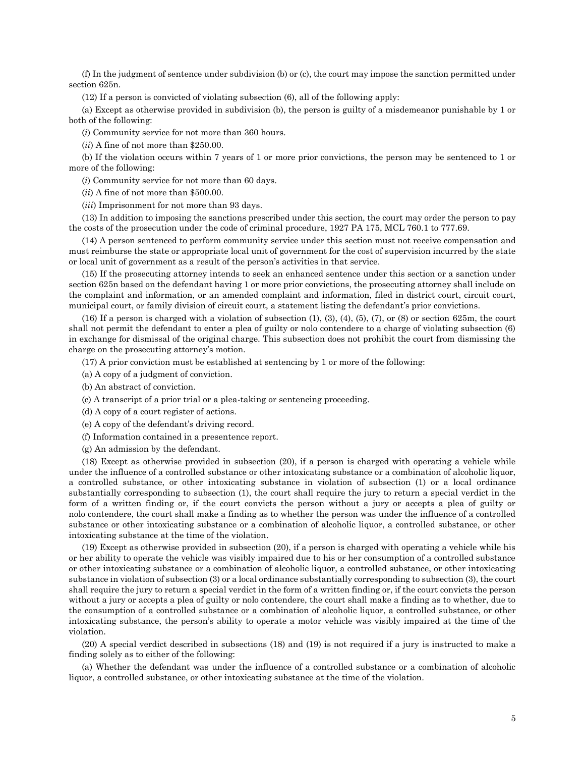(f) In the judgment of sentence under subdivision (b) or (c), the court may impose the sanction permitted under section 625n.

(12) If a person is convicted of violating subsection (6), all of the following apply:

(a) Except as otherwise provided in subdivision (b), the person is guilty of a misdemeanor punishable by 1 or both of the following:

(*i*) Community service for not more than 360 hours.

(*ii*) A fine of not more than \$250.00.

(b) If the violation occurs within 7 years of 1 or more prior convictions, the person may be sentenced to 1 or more of the following:

(*i*) Community service for not more than 60 days.

(*ii*) A fine of not more than \$500.00.

(*iii*) Imprisonment for not more than 93 days.

(13) In addition to imposing the sanctions prescribed under this section, the court may order the person to pay the costs of the prosecution under the code of criminal procedure, 1927 PA 175, MCL 760.1 to 777.69.

(14) A person sentenced to perform community service under this section must not receive compensation and must reimburse the state or appropriate local unit of government for the cost of supervision incurred by the state or local unit of government as a result of the person's activities in that service.

(15) If the prosecuting attorney intends to seek an enhanced sentence under this section or a sanction under section 625n based on the defendant having 1 or more prior convictions, the prosecuting attorney shall include on the complaint and information, or an amended complaint and information, filed in district court, circuit court, municipal court, or family division of circuit court, a statement listing the defendant's prior convictions.

(16) If a person is charged with a violation of subsection (1), (3), (4), (5), (7), or (8) or section 625m, the court shall not permit the defendant to enter a plea of guilty or nolo contendere to a charge of violating subsection (6) in exchange for dismissal of the original charge. This subsection does not prohibit the court from dismissing the charge on the prosecuting attorney's motion.

(17) A prior conviction must be established at sentencing by 1 or more of the following:

(a) A copy of a judgment of conviction.

(b) An abstract of conviction.

(c) A transcript of a prior trial or a plea-taking or sentencing proceeding.

(d) A copy of a court register of actions.

(e) A copy of the defendant's driving record.

(f) Information contained in a presentence report.

(g) An admission by the defendant.

(18) Except as otherwise provided in subsection (20), if a person is charged with operating a vehicle while under the influence of a controlled substance or other intoxicating substance or a combination of alcoholic liquor, a controlled substance, or other intoxicating substance in violation of subsection (1) or a local ordinance substantially corresponding to subsection (1), the court shall require the jury to return a special verdict in the form of a written finding or, if the court convicts the person without a jury or accepts a plea of guilty or nolo contendere, the court shall make a finding as to whether the person was under the influence of a controlled substance or other intoxicating substance or a combination of alcoholic liquor, a controlled substance, or other intoxicating substance at the time of the violation.

(19) Except as otherwise provided in subsection (20), if a person is charged with operating a vehicle while his or her ability to operate the vehicle was visibly impaired due to his or her consumption of a controlled substance or other intoxicating substance or a combination of alcoholic liquor, a controlled substance, or other intoxicating substance in violation of subsection (3) or a local ordinance substantially corresponding to subsection (3), the court shall require the jury to return a special verdict in the form of a written finding or, if the court convicts the person without a jury or accepts a plea of guilty or nolo contendere, the court shall make a finding as to whether, due to the consumption of a controlled substance or a combination of alcoholic liquor, a controlled substance, or other intoxicating substance, the person's ability to operate a motor vehicle was visibly impaired at the time of the violation.

(20) A special verdict described in subsections (18) and (19) is not required if a jury is instructed to make a finding solely as to either of the following:

(a) Whether the defendant was under the influence of a controlled substance or a combination of alcoholic liquor, a controlled substance, or other intoxicating substance at the time of the violation.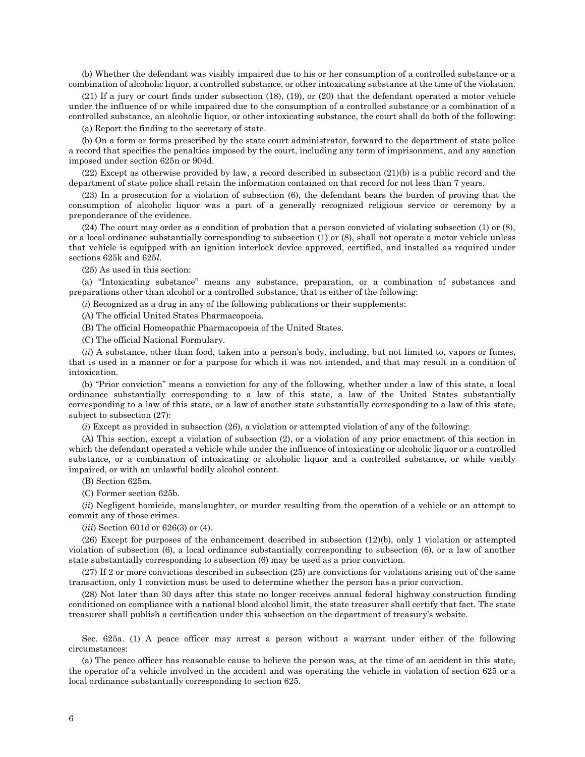(b) Whether the defendant was visibly impaired due to his or her consumption of a controlled substance or a combination of alcoholic liquor, a controlled substance, or other intoxicating substance at the time of the violation.

(21) If a jury or court finds under subsection (18), (19), or (20) that the defendant operated a motor vehicle under the influence of or while impaired due to the consumption of a controlled substance or a combination of a controlled substance, an alcoholic liquor, or other intoxicating substance, the court shall do both of the following:

(a) Report the finding to the secretary of state.

(b) On a form or forms prescribed by the state court administrator, forward to the department of state police a record that specifies the penalties imposed by the court, including any term of imprisonment, and any sanction imposed under section 625n or 904d.

(22) Except as otherwise provided by law, a record described in subsection (21)(b) is a public record and the department of state police shall retain the information contained on that record for not less than 7 years.

(23) In a prosecution for a violation of subsection (6), the defendant bears the burden of proving that the consumption of alcoholic liquor was a part of a generally recognized religious service or ceremony by a preponderance of the evidence.

(24) The court may order as a condition of probation that a person convicted of violating subsection (1) or (8), or a local ordinance substantially corresponding to subsection (1) or (8), shall not operate a motor vehicle unless that vehicle is equipped with an ignition interlock device approved, certified, and installed as required under sections 625k and 625*l*.

(25) As used in this section:

(a) "Intoxicating substance" means any substance, preparation, or a combination of substances and preparations other than alcohol or a controlled substance, that is either of the following:

(*i*) Recognized as a drug in any of the following publications or their supplements:

(A) The official United States Pharmacopoeia.

(B) The official Homeopathic Pharmacopoeia of the United States.

(C) The official National Formulary.

(*ii*) A substance, other than food, taken into a person's body, including, but not limited to, vapors or fumes, that is used in a manner or for a purpose for which it was not intended, and that may result in a condition of intoxication.

(b) "Prior conviction" means a conviction for any of the following, whether under a law of this state, a local ordinance substantially corresponding to a law of this state, a law of the United States substantially corresponding to a law of this state, or a law of another state substantially corresponding to a law of this state, subject to subsection (27):

(*i*) Except as provided in subsection (26), a violation or attempted violation of any of the following:

(A) This section, except a violation of subsection (2), or a violation of any prior enactment of this section in which the defendant operated a vehicle while under the influence of intoxicating or alcoholic liquor or a controlled substance, or a combination of intoxicating or alcoholic liquor and a controlled substance, or while visibly impaired, or with an unlawful bodily alcohol content.

(B) Section 625m.

(C) Former section 625b.

(*ii*) Negligent homicide, manslaughter, or murder resulting from the operation of a vehicle or an attempt to commit any of those crimes.

(*iii*) Section 601d or 626(3) or (4).

(26) Except for purposes of the enhancement described in subsection (12)(b), only 1 violation or attempted violation of subsection (6), a local ordinance substantially corresponding to subsection (6), or a law of another state substantially corresponding to subsection (6) may be used as a prior conviction.

(27) If 2 or more convictions described in subsection (25) are convictions for violations arising out of the same transaction, only 1 conviction must be used to determine whether the person has a prior conviction.

(28) Not later than 30 days after this state no longer receives annual federal highway construction funding conditioned on compliance with a national blood alcohol limit, the state treasurer shall certify that fact. The state treasurer shall publish a certification under this subsection on the department of treasury's website.

Sec. 625a. (1) A peace officer may arrest a person without a warrant under either of the following circumstances:

(a) The peace officer has reasonable cause to believe the person was, at the time of an accident in this state, the operator of a vehicle involved in the accident and was operating the vehicle in violation of section 625 or a local ordinance substantially corresponding to section 625.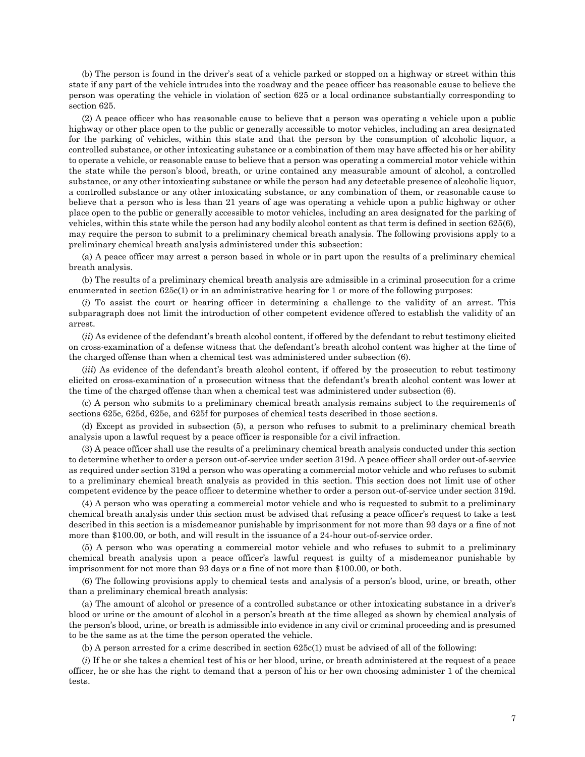(b) The person is found in the driver's seat of a vehicle parked or stopped on a highway or street within this state if any part of the vehicle intrudes into the roadway and the peace officer has reasonable cause to believe the person was operating the vehicle in violation of section 625 or a local ordinance substantially corresponding to section 625.

(2) A peace officer who has reasonable cause to believe that a person was operating a vehicle upon a public highway or other place open to the public or generally accessible to motor vehicles, including an area designated for the parking of vehicles, within this state and that the person by the consumption of alcoholic liquor, a controlled substance, or other intoxicating substance or a combination of them may have affected his or her ability to operate a vehicle, or reasonable cause to believe that a person was operating a commercial motor vehicle within the state while the person's blood, breath, or urine contained any measurable amount of alcohol, a controlled substance, or any other intoxicating substance or while the person had any detectable presence of alcoholic liquor, a controlled substance or any other intoxicating substance, or any combination of them, or reasonable cause to believe that a person who is less than 21 years of age was operating a vehicle upon a public highway or other place open to the public or generally accessible to motor vehicles, including an area designated for the parking of vehicles, within this state while the person had any bodily alcohol content as that term is defined in section 625(6), may require the person to submit to a preliminary chemical breath analysis. The following provisions apply to a preliminary chemical breath analysis administered under this subsection:

(a) A peace officer may arrest a person based in whole or in part upon the results of a preliminary chemical breath analysis.

(b) The results of a preliminary chemical breath analysis are admissible in a criminal prosecution for a crime enumerated in section 625c(1) or in an administrative hearing for 1 or more of the following purposes:

(*i*) To assist the court or hearing officer in determining a challenge to the validity of an arrest. This subparagraph does not limit the introduction of other competent evidence offered to establish the validity of an arrest.

(*ii*) As evidence of the defendant's breath alcohol content, if offered by the defendant to rebut testimony elicited on cross-examination of a defense witness that the defendant's breath alcohol content was higher at the time of the charged offense than when a chemical test was administered under subsection (6).

(*iii*) As evidence of the defendant's breath alcohol content, if offered by the prosecution to rebut testimony elicited on cross-examination of a prosecution witness that the defendant's breath alcohol content was lower at the time of the charged offense than when a chemical test was administered under subsection (6).

(c) A person who submits to a preliminary chemical breath analysis remains subject to the requirements of sections 625c, 625d, 625e, and 625f for purposes of chemical tests described in those sections.

(d) Except as provided in subsection (5), a person who refuses to submit to a preliminary chemical breath analysis upon a lawful request by a peace officer is responsible for a civil infraction.

(3) A peace officer shall use the results of a preliminary chemical breath analysis conducted under this section to determine whether to order a person out-of-service under section 319d. A peace officer shall order out-of-service as required under section 319d a person who was operating a commercial motor vehicle and who refuses to submit to a preliminary chemical breath analysis as provided in this section. This section does not limit use of other competent evidence by the peace officer to determine whether to order a person out-of-service under section 319d.

(4) A person who was operating a commercial motor vehicle and who is requested to submit to a preliminary chemical breath analysis under this section must be advised that refusing a peace officer's request to take a test described in this section is a misdemeanor punishable by imprisonment for not more than 93 days or a fine of not more than \$100.00, or both, and will result in the issuance of a 24-hour out-of-service order.

(5) A person who was operating a commercial motor vehicle and who refuses to submit to a preliminary chemical breath analysis upon a peace officer's lawful request is guilty of a misdemeanor punishable by imprisonment for not more than 93 days or a fine of not more than \$100.00, or both.

(6) The following provisions apply to chemical tests and analysis of a person's blood, urine, or breath, other than a preliminary chemical breath analysis:

(a) The amount of alcohol or presence of a controlled substance or other intoxicating substance in a driver's blood or urine or the amount of alcohol in a person's breath at the time alleged as shown by chemical analysis of the person's blood, urine, or breath is admissible into evidence in any civil or criminal proceeding and is presumed to be the same as at the time the person operated the vehicle.

(b) A person arrested for a crime described in section 625c(1) must be advised of all of the following:

(*i*) If he or she takes a chemical test of his or her blood, urine, or breath administered at the request of a peace officer, he or she has the right to demand that a person of his or her own choosing administer 1 of the chemical tests.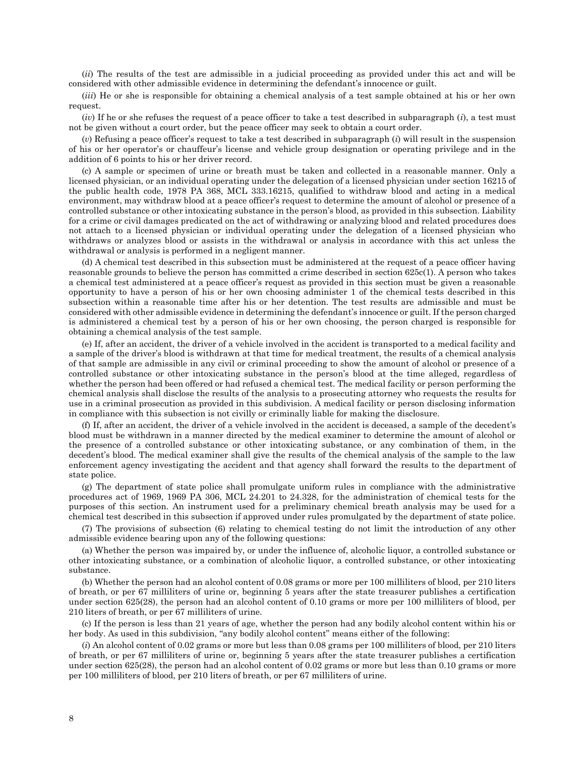(*ii*) The results of the test are admissible in a judicial proceeding as provided under this act and will be considered with other admissible evidence in determining the defendant's innocence or guilt.

(*iii*) He or she is responsible for obtaining a chemical analysis of a test sample obtained at his or her own request.

(*iv*) If he or she refuses the request of a peace officer to take a test described in subparagraph (*i*), a test must not be given without a court order, but the peace officer may seek to obtain a court order.

 $(v)$  Refusing a peace officer's request to take a test described in subparagraph  $(i)$  will result in the suspension of his or her operator's or chauffeur's license and vehicle group designation or operating privilege and in the addition of 6 points to his or her driver record.

(c) A sample or specimen of urine or breath must be taken and collected in a reasonable manner. Only a licensed physician, or an individual operating under the delegation of a licensed physician under section 16215 of the public health code, 1978 PA 368, MCL 333.16215, qualified to withdraw blood and acting in a medical environment, may withdraw blood at a peace officer's request to determine the amount of alcohol or presence of a controlled substance or other intoxicating substance in the person's blood, as provided in this subsection. Liability for a crime or civil damages predicated on the act of withdrawing or analyzing blood and related procedures does not attach to a licensed physician or individual operating under the delegation of a licensed physician who withdraws or analyzes blood or assists in the withdrawal or analysis in accordance with this act unless the withdrawal or analysis is performed in a negligent manner.

(d) A chemical test described in this subsection must be administered at the request of a peace officer having reasonable grounds to believe the person has committed a crime described in section 625c(1). A person who takes a chemical test administered at a peace officer's request as provided in this section must be given a reasonable opportunity to have a person of his or her own choosing administer 1 of the chemical tests described in this subsection within a reasonable time after his or her detention. The test results are admissible and must be considered with other admissible evidence in determining the defendant's innocence or guilt. If the person charged is administered a chemical test by a person of his or her own choosing, the person charged is responsible for obtaining a chemical analysis of the test sample.

(e) If, after an accident, the driver of a vehicle involved in the accident is transported to a medical facility and a sample of the driver's blood is withdrawn at that time for medical treatment, the results of a chemical analysis of that sample are admissible in any civil or criminal proceeding to show the amount of alcohol or presence of a controlled substance or other intoxicating substance in the person's blood at the time alleged, regardless of whether the person had been offered or had refused a chemical test. The medical facility or person performing the chemical analysis shall disclose the results of the analysis to a prosecuting attorney who requests the results for use in a criminal prosecution as provided in this subdivision. A medical facility or person disclosing information in compliance with this subsection is not civilly or criminally liable for making the disclosure.

(f) If, after an accident, the driver of a vehicle involved in the accident is deceased, a sample of the decedent's blood must be withdrawn in a manner directed by the medical examiner to determine the amount of alcohol or the presence of a controlled substance or other intoxicating substance, or any combination of them, in the decedent's blood. The medical examiner shall give the results of the chemical analysis of the sample to the law enforcement agency investigating the accident and that agency shall forward the results to the department of state police.

(g) The department of state police shall promulgate uniform rules in compliance with the administrative procedures act of 1969, 1969 PA 306, MCL 24.201 to 24.328, for the administration of chemical tests for the purposes of this section. An instrument used for a preliminary chemical breath analysis may be used for a chemical test described in this subsection if approved under rules promulgated by the department of state police.

(7) The provisions of subsection (6) relating to chemical testing do not limit the introduction of any other admissible evidence bearing upon any of the following questions:

(a) Whether the person was impaired by, or under the influence of, alcoholic liquor, a controlled substance or other intoxicating substance, or a combination of alcoholic liquor, a controlled substance, or other intoxicating substance.

(b) Whether the person had an alcohol content of 0.08 grams or more per 100 milliliters of blood, per 210 liters of breath, or per 67 milliliters of urine or, beginning 5 years after the state treasurer publishes a certification under section 625(28), the person had an alcohol content of 0.10 grams or more per 100 milliliters of blood, per 210 liters of breath, or per 67 milliliters of urine.

(c) If the person is less than 21 years of age, whether the person had any bodily alcohol content within his or her body. As used in this subdivision, "any bodily alcohol content" means either of the following:

(*i*) An alcohol content of 0.02 grams or more but less than 0.08 grams per 100 milliliters of blood, per 210 liters of breath, or per 67 milliliters of urine or, beginning 5 years after the state treasurer publishes a certification under section 625(28), the person had an alcohol content of 0.02 grams or more but less than 0.10 grams or more per 100 milliliters of blood, per 210 liters of breath, or per 67 milliliters of urine.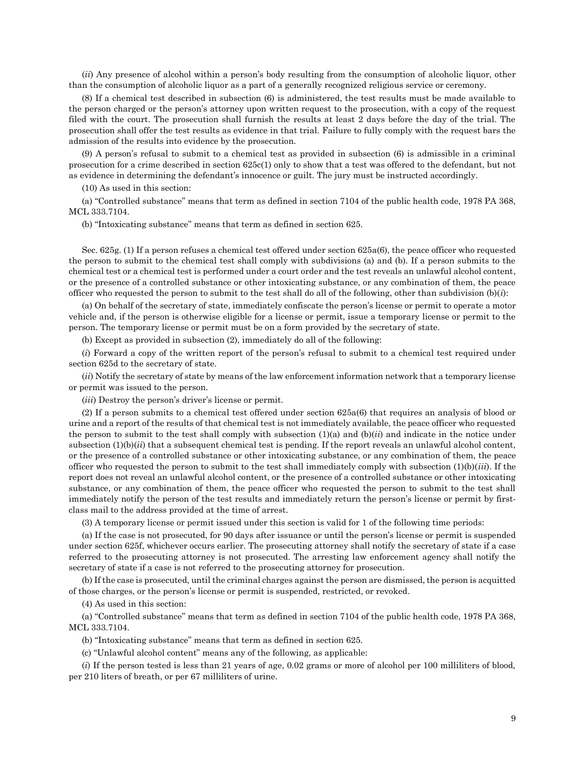(*ii*) Any presence of alcohol within a person's body resulting from the consumption of alcoholic liquor, other than the consumption of alcoholic liquor as a part of a generally recognized religious service or ceremony.

(8) If a chemical test described in subsection (6) is administered, the test results must be made available to the person charged or the person's attorney upon written request to the prosecution, with a copy of the request filed with the court. The prosecution shall furnish the results at least 2 days before the day of the trial. The prosecution shall offer the test results as evidence in that trial. Failure to fully comply with the request bars the admission of the results into evidence by the prosecution.

(9) A person's refusal to submit to a chemical test as provided in subsection (6) is admissible in a criminal prosecution for a crime described in section 625c(1) only to show that a test was offered to the defendant, but not as evidence in determining the defendant's innocence or guilt. The jury must be instructed accordingly.

(10) As used in this section:

(a) "Controlled substance" means that term as defined in section 7104 of the public health code, 1978 PA 368, MCL 333.7104.

(b) "Intoxicating substance" means that term as defined in section 625.

Sec. 625g. (1) If a person refuses a chemical test offered under section 625a(6), the peace officer who requested the person to submit to the chemical test shall comply with subdivisions (a) and (b). If a person submits to the chemical test or a chemical test is performed under a court order and the test reveals an unlawful alcohol content, or the presence of a controlled substance or other intoxicating substance, or any combination of them, the peace officer who requested the person to submit to the test shall do all of the following, other than subdivision  $(b)(i)$ :

(a) On behalf of the secretary of state, immediately confiscate the person's license or permit to operate a motor vehicle and, if the person is otherwise eligible for a license or permit, issue a temporary license or permit to the person. The temporary license or permit must be on a form provided by the secretary of state.

(b) Except as provided in subsection (2), immediately do all of the following:

(*i*) Forward a copy of the written report of the person's refusal to submit to a chemical test required under section 625d to the secretary of state.

(*ii*) Notify the secretary of state by means of the law enforcement information network that a temporary license or permit was issued to the person.

(*iii*) Destroy the person's driver's license or permit.

(2) If a person submits to a chemical test offered under section 625a(6) that requires an analysis of blood or urine and a report of the results of that chemical test is not immediately available, the peace officer who requested the person to submit to the test shall comply with subsection  $(1)(a)$  and  $(b)(ii)$  and indicate in the notice under subsection (1)(b)(*ii*) that a subsequent chemical test is pending. If the report reveals an unlawful alcohol content, or the presence of a controlled substance or other intoxicating substance, or any combination of them, the peace officer who requested the person to submit to the test shall immediately comply with subsection  $(1)(b)(iii)$ . If the report does not reveal an unlawful alcohol content, or the presence of a controlled substance or other intoxicating substance, or any combination of them, the peace officer who requested the person to submit to the test shall immediately notify the person of the test results and immediately return the person's license or permit by firstclass mail to the address provided at the time of arrest.

(3) A temporary license or permit issued under this section is valid for 1 of the following time periods:

(a) If the case is not prosecuted, for 90 days after issuance or until the person's license or permit is suspended under section 625f, whichever occurs earlier. The prosecuting attorney shall notify the secretary of state if a case referred to the prosecuting attorney is not prosecuted. The arresting law enforcement agency shall notify the secretary of state if a case is not referred to the prosecuting attorney for prosecution.

(b) If the case is prosecuted, until the criminal charges against the person are dismissed, the person is acquitted of those charges, or the person's license or permit is suspended, restricted, or revoked.

(4) As used in this section:

(a) "Controlled substance" means that term as defined in section 7104 of the public health code, 1978 PA 368, MCL 333.7104.

(b) "Intoxicating substance" means that term as defined in section 625.

(c) "Unlawful alcohol content" means any of the following, as applicable:

(*i*) If the person tested is less than 21 years of age, 0.02 grams or more of alcohol per 100 milliliters of blood, per 210 liters of breath, or per 67 milliliters of urine.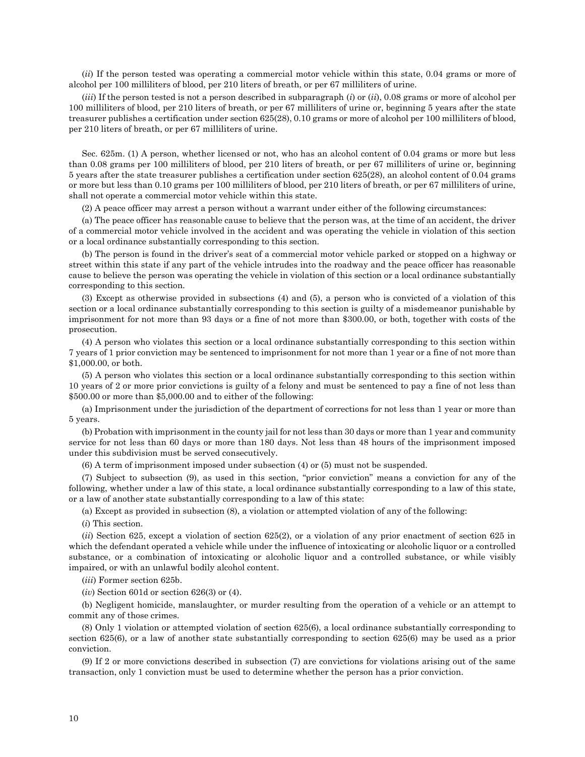(*ii*) If the person tested was operating a commercial motor vehicle within this state, 0.04 grams or more of alcohol per 100 milliliters of blood, per 210 liters of breath, or per 67 milliliters of urine.

(*iii*) If the person tested is not a person described in subparagraph (*i*) or (*ii*), 0.08 grams or more of alcohol per 100 milliliters of blood, per 210 liters of breath, or per 67 milliliters of urine or, beginning 5 years after the state treasurer publishes a certification under section 625(28), 0.10 grams or more of alcohol per 100 milliliters of blood, per 210 liters of breath, or per 67 milliliters of urine.

Sec. 625m. (1) A person, whether licensed or not, who has an alcohol content of 0.04 grams or more but less than 0.08 grams per 100 milliliters of blood, per 210 liters of breath, or per 67 milliliters of urine or, beginning 5 years after the state treasurer publishes a certification under section 625(28), an alcohol content of 0.04 grams or more but less than 0.10 grams per 100 milliliters of blood, per 210 liters of breath, or per 67 milliliters of urine, shall not operate a commercial motor vehicle within this state.

(2) A peace officer may arrest a person without a warrant under either of the following circumstances:

(a) The peace officer has reasonable cause to believe that the person was, at the time of an accident, the driver of a commercial motor vehicle involved in the accident and was operating the vehicle in violation of this section or a local ordinance substantially corresponding to this section.

(b) The person is found in the driver's seat of a commercial motor vehicle parked or stopped on a highway or street within this state if any part of the vehicle intrudes into the roadway and the peace officer has reasonable cause to believe the person was operating the vehicle in violation of this section or a local ordinance substantially corresponding to this section.

(3) Except as otherwise provided in subsections (4) and (5), a person who is convicted of a violation of this section or a local ordinance substantially corresponding to this section is guilty of a misdemeanor punishable by imprisonment for not more than 93 days or a fine of not more than \$300.00, or both, together with costs of the prosecution.

(4) A person who violates this section or a local ordinance substantially corresponding to this section within 7 years of 1 prior conviction may be sentenced to imprisonment for not more than 1 year or a fine of not more than \$1,000.00, or both.

(5) A person who violates this section or a local ordinance substantially corresponding to this section within 10 years of 2 or more prior convictions is guilty of a felony and must be sentenced to pay a fine of not less than \$500.00 or more than \$5,000.00 and to either of the following:

(a) Imprisonment under the jurisdiction of the department of corrections for not less than 1 year or more than 5 years.

(b) Probation with imprisonment in the county jail for not less than 30 days or more than 1 year and community service for not less than 60 days or more than 180 days. Not less than 48 hours of the imprisonment imposed under this subdivision must be served consecutively.

(6) A term of imprisonment imposed under subsection (4) or (5) must not be suspended.

(7) Subject to subsection (9), as used in this section, "prior conviction" means a conviction for any of the following, whether under a law of this state, a local ordinance substantially corresponding to a law of this state, or a law of another state substantially corresponding to a law of this state:

(a) Except as provided in subsection (8), a violation or attempted violation of any of the following:

(*i*) This section.

(*ii*) Section 625, except a violation of section 625(2), or a violation of any prior enactment of section 625 in which the defendant operated a vehicle while under the influence of intoxicating or alcoholic liquor or a controlled substance, or a combination of intoxicating or alcoholic liquor and a controlled substance, or while visibly impaired, or with an unlawful bodily alcohol content.

(*iii*) Former section 625b.

(*iv*) Section 601d or section 626(3) or (4).

(b) Negligent homicide, manslaughter, or murder resulting from the operation of a vehicle or an attempt to commit any of those crimes.

(8) Only 1 violation or attempted violation of section 625(6), a local ordinance substantially corresponding to section 625(6), or a law of another state substantially corresponding to section 625(6) may be used as a prior conviction.

(9) If 2 or more convictions described in subsection (7) are convictions for violations arising out of the same transaction, only 1 conviction must be used to determine whether the person has a prior conviction.